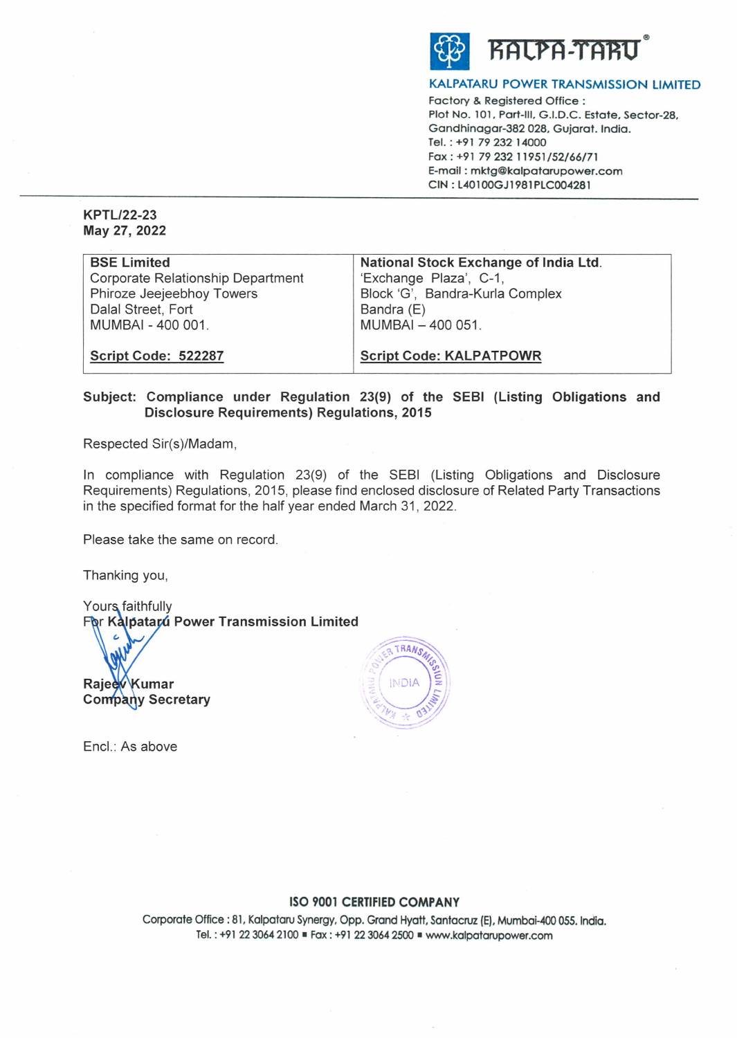

# **KALPATARU POWER TRANSMISSION LIMITED**

Factory & Registered Office : Plot No. 101, Part-Ill, G.I.D.C. Estate, Sector-28, Gandhinagar-382 028, Gujarat. India. Tel. : +91 79 232· 14000 Fax: +91 79 232 11951 /52/66/71 E-mail : **mktg@kalpatarupower.com CIN : L40100GJ1981PLC004281** 

**KPTL/22-23 May 27, 2022** 

| <b>BSE Limited</b>                       | National Stock Exchange of India Ltd. |
|------------------------------------------|---------------------------------------|
| <b>Corporate Relationship Department</b> | 'Exchange Plaza', C-1,                |
| Phiroze Jeejeebhoy Towers                | Block 'G', Bandra-Kurla Complex       |
| Dalal Street, Fort                       | Bandra (E)                            |
| MUMBAI - 400 001.                        | MUMBAI - 400 051.                     |
|                                          |                                       |
| Script Code: 522287                      | <b>Script Code: KALPATPOWR</b>        |

# **Subject: Compliance under Regulation 23(9) of the SEBI (Listing Obligations and Disclosure Requirements) Regulations, 2015**

Respected Sir(s)/Madam,

In compliance with Regulation 23(9) of the SEBI (Listing Obligations and Disclosure Requirements) Regulations, 2015, please find enclosed disclosure of Related Party Transactions in the specified format for the half year ended March 31, 2022.

Please take the same on record.

Thanking you,

۷

Yours faithfully **Por Kalpatarú Power Transmission Limited** 

Rajeev Kumar **Company Secretary** 



Encl.: As above

## **ISO 9001 CERTIFIED COMPANY**

Corporate Office: 81, Kalpataru Synergy, Opp. Grand Hyatt, Santacruz (E), Mumbai-400 055. India. Tel.: +91 22 3064 2100 ■ Fax: +91 22 3064 2500 ■ www.kalpatarupower.com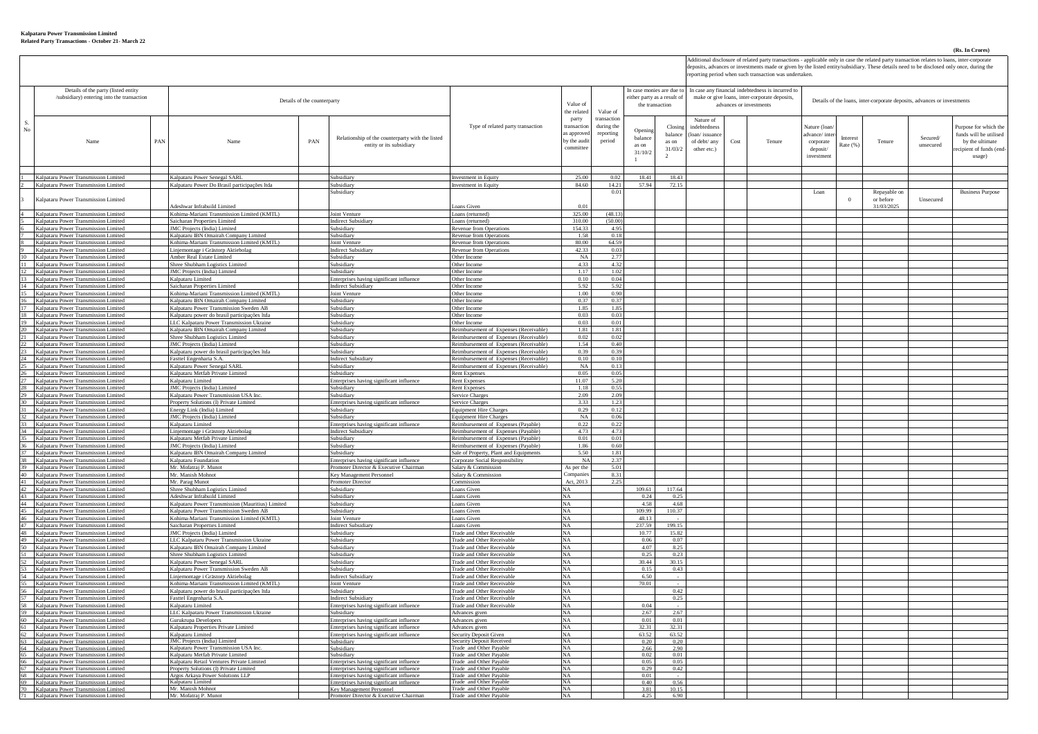#### **Kalpataru Power Transmission Limited Related Party Transactions - October 21- March 22**

## **(Rs. In Crores)**

Additional disclosure of related party transactions - applicable only in case the related party transaction relates to loans, inter-corporate<br>deposits, advances or investments made or given by the listed entity/subsidiary.

|    |                                                                                    |     |                                                                                                |     |                                                                                      |                                                                                  | eporting period when such transaction was undertaken |                         |                  |                             |                                                   |                     |                                                                          |                                                                         |         |             |           |                                                 |  |  |
|----|------------------------------------------------------------------------------------|-----|------------------------------------------------------------------------------------------------|-----|--------------------------------------------------------------------------------------|----------------------------------------------------------------------------------|------------------------------------------------------|-------------------------|------------------|-----------------------------|---------------------------------------------------|---------------------|--------------------------------------------------------------------------|-------------------------------------------------------------------------|---------|-------------|-----------|-------------------------------------------------|--|--|
|    | Details of the party (listed entity                                                |     |                                                                                                |     |                                                                                      |                                                                                  |                                                      |                         |                  | In case monies are due to   | In case any financial indebtedness is incurred to |                     |                                                                          |                                                                         |         |             |           |                                                 |  |  |
|    | /subsidiary) entering into the transaction<br>Details of the counterparty          |     |                                                                                                |     |                                                                                      |                                                                                  | Value of                                             |                         | the transaction  | either party as a result of |                                                   |                     | make or give loans, inter-corporate deposits,<br>advances or investments | Details of the loans, inter-corporate deposits, advances or investments |         |             |           |                                                 |  |  |
|    |                                                                                    |     |                                                                                                |     | the related                                                                          | Value of                                                                         |                                                      |                         |                  |                             |                                                   |                     |                                                                          |                                                                         |         |             |           |                                                 |  |  |
| S  |                                                                                    |     |                                                                                                |     |                                                                                      |                                                                                  | party                                                | transaction             |                  |                             | Nature of                                         |                     |                                                                          |                                                                         |         |             |           |                                                 |  |  |
| No |                                                                                    |     |                                                                                                |     |                                                                                      | Type of related party transaction                                                | ransactio<br>s approve                               | during the<br>reporting | Oneni            | Closi<br>balance            | indebtednes<br>(loan/issuanc                      |                     |                                                                          | Nature (loar<br>dvance/inter                                            |         |             |           | Purpose for which the<br>funds will be utilised |  |  |
|    | Name                                                                               | PAN | Name                                                                                           | PAN | Relationship of the counterparty with the listed                                     |                                                                                  | by the audi                                          | period                  | balanc           | as on                       | of debt/ any                                      | $\mathop{\rm Cost}$ | Tenure                                                                   | corporate                                                               | iteres  | Tenure      | Secured/  | by the ultimate                                 |  |  |
|    |                                                                                    |     |                                                                                                |     | entity or its subsidiary                                                             |                                                                                  | committe                                             |                         | as on<br>31/10/2 | 31/03/2                     | other etc.)                                       |                     |                                                                          | deposit/                                                                | Rate (% |             | unsecured | ecipient of funds (end                          |  |  |
|    |                                                                                    |     |                                                                                                |     |                                                                                      |                                                                                  |                                                      |                         |                  | $\mathcal{L}$               |                                                   |                     |                                                                          | investment                                                              |         |             |           | usage)                                          |  |  |
|    |                                                                                    |     |                                                                                                |     |                                                                                      |                                                                                  |                                                      |                         |                  |                             |                                                   |                     |                                                                          |                                                                         |         |             |           |                                                 |  |  |
|    | Kalpataru Power Transmission Limited<br>Kalnataru Power Transmission Limited       |     | Kalpataru Power Senegal SARL<br>Kalpataru Power Do Brasil participações Itda                   |     | Subsidiary<br>Subsidiary                                                             | nvestment in Equity<br><b>Investment in Equity</b>                               | 25.00<br>84.60                                       | 0 <sup>0</sup><br>14.21 | 18.41<br>57.94   | 18.43<br>72.15              |                                                   |                     |                                                                          |                                                                         |         |             |           |                                                 |  |  |
|    |                                                                                    |     |                                                                                                |     | Subsidiary                                                                           |                                                                                  |                                                      | 0.0                     |                  |                             |                                                   |                     |                                                                          | Loan                                                                    |         | Repayable o |           | <b>Business Purpose</b>                         |  |  |
|    | Kalpataru Power Transmission Limited                                               |     |                                                                                                |     |                                                                                      |                                                                                  |                                                      |                         |                  |                             |                                                   |                     |                                                                          |                                                                         |         | or before   | Unsecured |                                                 |  |  |
|    | Kalpataru Power Transmission Limited                                               |     | deshwar Infrabuild Limited<br>Kohima-Mariani Transmission Limited (KMTL)                       |     | Joint Venture                                                                        | oans Given<br>Loans (returned)                                                   | 0.0<br>325.00                                        | (48.13)                 |                  |                             |                                                   |                     |                                                                          |                                                                         |         | 31/03/2025  |           |                                                 |  |  |
|    | Kalpataru Power Transmission Limited                                               |     | Saicharan Properties Limited                                                                   |     | Indirect Subsidiar                                                                   | Loans (returned)                                                                 | 310.00                                               | (50.00)                 |                  |                             |                                                   |                     |                                                                          |                                                                         |         |             |           |                                                 |  |  |
|    | Kalpataru Power Transmission Limited                                               |     | <b>IMC</b> Projects (India) Limited                                                            |     | Subsidiary                                                                           | Revenue from Operation                                                           | 154.33                                               | 4.9                     |                  |                             |                                                   |                     |                                                                          |                                                                         |         |             |           |                                                 |  |  |
|    | Kalpataru Power Transmission Limited<br>Kalpataru Power Transmission Limited       |     | Kalpataru IBN Omairah Company Limited<br>Kohima-Mariani Transmission Limited (KMTL)            |     | Subsidiary<br>Joint Venture                                                          | <b>Revenue from Operations</b><br><b>Revenue from Operations</b>                 | 1.58<br>80.00                                        | 0.18<br>64.59           |                  |                             |                                                   |                     |                                                                          |                                                                         |         |             |           |                                                 |  |  |
|    | Kalpataru Power Transmission Limited                                               |     | iniemontage i Grästorp Aktiebola                                                               |     | <b>Indirect Subsidia</b>                                                             | <b>Revenue from Operations</b>                                                   | 42.33                                                | 0.03                    |                  |                             |                                                   |                     |                                                                          |                                                                         |         |             |           |                                                 |  |  |
|    | 10 Kalpataru Power Transmission Limited                                            |     | Amber Real Estate Limited                                                                      |     | Subsidiary                                                                           | Other Income                                                                     | NA                                                   | 2.77                    |                  |                             |                                                   |                     |                                                                          |                                                                         |         |             |           |                                                 |  |  |
|    | Kalpataru Power Transmission Limited<br>12 Kalpataru Power Transmission Limited    |     | Shree Shubham Logistics Limited<br>JMC Projects (India) Limited                                |     | Subsidiary<br>Subsidiary                                                             | Other Income<br>Other Income                                                     | 4.33<br>1.17                                         | 4.32<br>1.02            |                  |                             |                                                   |                     |                                                                          |                                                                         |         |             |           |                                                 |  |  |
|    | 13 Kalpataru Power Transmission Limited                                            |     | Kalpataru Limited                                                                              |     | Enterprises having significant influence                                             | Other Income                                                                     | 0.10                                                 | 0.04                    |                  |                             |                                                   |                     |                                                                          |                                                                         |         |             |           |                                                 |  |  |
|    | 14 Kalpataru Power Transmission Limited<br>Kalpataru Power Transmission Limited    |     | Saicharan Properties Limited<br>Kohima-Mariani Transmission Limited (KMTL)                     |     | <b>Indirect Subsidiary</b><br>Joint Venture                                          | Other Income<br>Other Income                                                     | 5.92                                                 | 5.92                    |                  |                             |                                                   |                     |                                                                          |                                                                         |         |             |           |                                                 |  |  |
|    | 16 Kalpataru Power Transmission Limited                                            |     | Kalpataru IBN Omairah Company Limited                                                          |     | Subsidiary                                                                           | Other Income                                                                     | 1.00<br>0.37                                         | 0.90<br>037             |                  |                             |                                                   |                     |                                                                          |                                                                         |         |             |           |                                                 |  |  |
|    | 17 Kalpataru Power Transmission Limited                                            |     | Kalpataru Power Transmission Sweden AB                                                         |     | Subsidiary                                                                           | Other Income                                                                     | 1.85                                                 | 1.85                    |                  |                             |                                                   |                     |                                                                          |                                                                         |         |             |           |                                                 |  |  |
|    | 18 Kalpataru Power Transmission Limited<br>Kalpataru Power Transmission Limited    |     | Kalpataru power do brasil participações ltda<br><b>LC Kalpataru Power Transmission Ukraine</b> |     | Subsidiary<br>Subsidiary                                                             | Other Income<br>Other Income                                                     | 0.03<br>0.03                                         | 0.03<br>0.0             |                  |                             |                                                   |                     |                                                                          |                                                                         |         |             |           |                                                 |  |  |
|    | Kalpataru Power Transmission Limited                                               |     | Kalpataru IBN Omairah Company Limited                                                          |     | Subsidiary                                                                           | Reimbursement of Expenses (Receivable)                                           | 1.81                                                 | 1.81                    |                  |                             |                                                   |                     |                                                                          |                                                                         |         |             |           |                                                 |  |  |
|    | 21 Kalpataru Power Transmission Limited                                            |     | Shree Shubham Logistics Limited                                                                |     | Subsidiary                                                                           | Reimbursement of Expenses (Receivable)                                           | 0.02                                                 | 0.02                    |                  |                             |                                                   |                     |                                                                          |                                                                         |         |             |           |                                                 |  |  |
|    | Kalnataru Power Transmission Limited<br>23 Kalpataru Power Transmission Limited    |     | <b>IMC</b> Projects (India) Limited<br>Kalpataru power do brasil participações Itda            |     | Subsidiary<br>Subsidiary                                                             | Reimbursement of Expenses (Receivable)<br>Reimbursement of Expenses (Receivable) | 1.54<br>0.39                                         | 0.40<br>0.39            |                  |                             |                                                   |                     |                                                                          |                                                                         |         |             |           |                                                 |  |  |
|    | 24 Kalpataru Power Transmission Limited                                            |     | Fasttel Engenharia S.A.                                                                        |     | <b>Indirect Subsidia</b>                                                             | Reimbursement of Expenses (Receivable)                                           | 0.10                                                 | 0.11                    |                  |                             |                                                   |                     |                                                                          |                                                                         |         |             |           |                                                 |  |  |
|    | 25 Kalpataru Power Transmission Limited                                            |     | Kalpataru Power Senegal SARL                                                                   |     | Subsidiary                                                                           | Reimbursement of Expenses (Receivable)                                           | NA                                                   | 0.13                    |                  |                             |                                                   |                     |                                                                          |                                                                         |         |             |           |                                                 |  |  |
|    | 26 Kalpataru Power Transmission Limited<br>27 Kalpataru Power Transmission Limited |     | Kalpataru Metfab Private Limited<br>Kalpataru Limited                                          |     | Subsidiary<br>Enterprises having significant influence                               | Rent Expenses<br><b>Rent Expenses</b>                                            | 0.05<br>11.07                                        | 0.0<br>5.21             |                  |                             |                                                   |                     |                                                                          |                                                                         |         |             |           |                                                 |  |  |
|    | 28 Kalpataru Power Transmission Limited                                            |     | JMC Projects (India) Limited                                                                   |     | Subsidiary                                                                           | <b>Rent Expenses</b>                                                             | 1.18                                                 | 0.5                     |                  |                             |                                                   |                     |                                                                          |                                                                         |         |             |           |                                                 |  |  |
|    | 29 Kalnataru Power Transmission Limited                                            |     | Kalnataru Power Transmission USA Inc.                                                          |     | Subsidiary                                                                           | <b>Service Charges</b><br>ervice Charges                                         | 2.09<br>3.33                                         | 2.09<br>1.23            |                  |                             |                                                   |                     |                                                                          |                                                                         |         |             |           |                                                 |  |  |
|    | alpataru Power Transmission Limited<br>31 Kalpataru Power Transmission Limited     |     | roperty Solutions (I) Private Limited<br>Energy Link (India) Limited                           |     | Interprises having significant influence<br>Subsidiary                               | <b>Equipment Hire Charges</b>                                                    | 0.29                                                 | 0.12                    |                  |                             |                                                   |                     |                                                                          |                                                                         |         |             |           |                                                 |  |  |
|    | 32 Kalpataru Power Transmission Limited                                            |     | JMC Projects (India) Limited                                                                   |     | Subsidiary                                                                           | <b>Equipment Hire Charges</b>                                                    | <b>NA</b>                                            | 0.06                    |                  |                             |                                                   |                     |                                                                          |                                                                         |         |             |           |                                                 |  |  |
|    | Kalpataru Power Transmission Limited<br>34 Kalpataru Power Transmission Limited    |     | Kalpataru Limited<br>injemontage i Grästorp Aktiebola                                          |     | Enterprises having significant influence<br><b>Indirect Subsidiary</b>               | Reimbursement of Expenses (Pavable)<br>Reimbursement of Expenses (Payable)       | 0.22<br>4.7'                                         | 0.22<br>4.7             |                  |                             |                                                   |                     |                                                                          |                                                                         |         |             |           |                                                 |  |  |
|    | Kalpataru Power Transmission Limited                                               |     | Kalpataru Metfab Private Limited                                                               |     | Subsidiary                                                                           | Reimbursement of Expenses (Pavable)                                              | 0.01                                                 | 0.01                    |                  |                             |                                                   |                     |                                                                          |                                                                         |         |             |           |                                                 |  |  |
|    | 36 Kalnataru Power Transmission Limited                                            |     | IMC Projects (India) I imited                                                                  |     | Subsidiary                                                                           | Reimbursement of Expenses (Pavable)                                              | 1.86                                                 | 0.60                    |                  |                             |                                                   |                     |                                                                          |                                                                         |         |             |           |                                                 |  |  |
|    | Kalpataru Power Transmission Limited<br>38 Kalpataru Power Transmission Limited    |     | Kalpataru IBN Omairah Company Limited<br>Kalpataru Foundation                                  |     | Subsidiary<br>Enterprises having significant influence                               | Sale of Property, Plant and Equipments<br>Corporate Social Responsibility        | 5.50<br>N <sub>A</sub>                               | 1.81<br>2.37            |                  |                             |                                                   |                     |                                                                          |                                                                         |         |             |           |                                                 |  |  |
|    | 39 Kalpataru Power Transmission Limited                                            |     | Mr. Mofatraj P. Munot                                                                          |     | Promoter Director & Executive Chairman                                               | Salary & Commission                                                              | As per the                                           | 5.01                    |                  |                             |                                                   |                     |                                                                          |                                                                         |         |             |           |                                                 |  |  |
|    | 40 Kalpataru Power Transmission Limited                                            |     | Mr. Manish Mohnot                                                                              |     | Key Management Personnel                                                             | Salary & Commission                                                              | Compani<br>Act. 2013                                 | 8.31<br>2.7             |                  |                             |                                                   |                     |                                                                          |                                                                         |         |             |           |                                                 |  |  |
|    | Kalpataru Power Transmission Limited<br>42 Kalpataru Power Transmission Limited    |     | Ir. Parag Munot<br>Shree Shubham Logistics Limited                                             |     | <b>Promoter Director</b><br>Subsidiary                                               | ommission<br>Loans Given                                                         | NA                                                   |                         | 109.61           | 117.64                      |                                                   |                     |                                                                          |                                                                         |         |             |           |                                                 |  |  |
|    | 43 Kalpataru Power Transmission Limited                                            |     | Adeshwar Infrabuild Limited                                                                    |     | Subsidiary                                                                           | Loans Given                                                                      | NA                                                   |                         | 0.24             | 0.25                        |                                                   |                     |                                                                          |                                                                         |         |             |           |                                                 |  |  |
|    | 44 Kalpataru Power Transmission Limited                                            |     | Kalnataru Power Transmission (Mauritius) Limited                                               |     | Subsidiary<br>Subsidiary                                                             | Loans Given                                                                      | NA<br>NA                                             |                         | 4.58<br>109.99   | 4.68<br>110.37              |                                                   |                     |                                                                          |                                                                         |         |             |           |                                                 |  |  |
| 46 | 45 Kalpataru Power Transmission Limited<br>Kalpataru Power Transmission Limited    |     | Kalpataru Power Transmission Sweden AB<br>Kohima-Mariani Transmission Limited (KMTL)           |     | Joint Venture                                                                        | Loans Given<br>Loans Given                                                       | <b>NA</b>                                            |                         | 48.13            |                             |                                                   |                     |                                                                          |                                                                         |         |             |           |                                                 |  |  |
|    | 47 Kalpataru Power Transmission Limited                                            |     | Saicharan Properties Limited                                                                   |     | <b>Indirect Subsidiary</b>                                                           | Loans Given                                                                      | <b>NA</b>                                            |                         | 237.59           | 199.15                      |                                                   |                     |                                                                          |                                                                         |         |             |           |                                                 |  |  |
| 48 | Kalpataru Power Transmission Limited<br>49 Kalpataru Power Transmission Limited    |     | <b>JMC</b> Projects (India) Limited<br>LLC Kalnataru Power Transmission Ukraine                |     | Subsidiary<br>Subsidiary                                                             | <b>Trade and Other Receivable</b><br>Trade and Other Receivable                  | NA<br><b>NA</b>                                      |                         | 10.77<br>0.06    | 15.82<br>0.07               |                                                   |                     |                                                                          |                                                                         |         |             |           |                                                 |  |  |
| 50 | Kalpataru Power Transmission Limited                                               |     | Kalpataru IBN Omairah Company Limited                                                          |     | Subsidiary                                                                           | Trade and Other Receivable                                                       | NA                                                   |                         | 4.07             | 8.25                        |                                                   |                     |                                                                          |                                                                         |         |             |           |                                                 |  |  |
|    | 51 Kalpataru Power Transmission Limited                                            |     | Shree Shubham Logistics Limited                                                                |     | Subsidiary                                                                           | Trade and Other Receivable                                                       | NA                                                   |                         | 0.25             | 0.23                        |                                                   |                     |                                                                          |                                                                         |         |             |           |                                                 |  |  |
|    | 52 Kalpataru Power Transmission Limited<br>Kalnataru Power Transmission Limited    |     | Kalpataru Power Senegal SARL<br>Kalnataru Power Transmission Sweden AB                         |     | Subsidiary<br>Subsidiary                                                             | Trade and Other Receivable<br>Trade and Other Receivable                         | <b>NA</b><br><b>NA</b>                               |                         | 30.44<br>0.15    | 30.15<br>0.43               |                                                   |                     |                                                                          |                                                                         |         |             |           |                                                 |  |  |
|    | 54 Kalpataru Power Transmission Limited                                            |     | injemontage i Grästorp Aktiebolag                                                              |     | <b>Indirect Subsidiary</b>                                                           | Trade and Other Receivable                                                       | <b>NA</b>                                            |                         | 6.50             |                             |                                                   |                     |                                                                          |                                                                         |         |             |           |                                                 |  |  |
|    | 55 Kalpataru Power Transmission Limited                                            |     | Kohima-Mariani Transmission Limited (KMTL)                                                     |     | Joint Venture<br>Subsidiary                                                          | Trade and Other Receivable                                                       | NA<br><b>NA</b>                                      |                         | 70.01            | 0.42                        |                                                   |                     |                                                                          |                                                                         |         |             |           |                                                 |  |  |
|    | 56 Kalpataru Power Transmission Limited<br>Kalpataru Power Transmission Limited    |     | Kalpataru power do brasil participações Itda<br><sup>3</sup> asttel Engenharia S.A             |     | <b>Indirect Subsidiary</b>                                                           | <b>Trade and Other Receivable</b><br><b>Trade and Other Receivable</b>           | <b>NA</b>                                            |                         |                  | 0.25                        |                                                   |                     |                                                                          |                                                                         |         |             |           |                                                 |  |  |
|    | 58 Kalpataru Power Transmission Limited                                            |     | Kalpataru Limited                                                                              |     | Enterprises having significant influence                                             | Trade and Other Receivable                                                       | NA                                                   |                         | 0.04             |                             |                                                   |                     |                                                                          |                                                                         |         |             |           |                                                 |  |  |
|    | Kalpataru Power Transmission Limited<br>60 Kalpataru Power Transmission Limited    |     | LC Kalpataru Power Transmission Ukraine<br>iurukrupa Developers                                |     | Subsidiary                                                                           | Advances given                                                                   | NA<br>NA.                                            |                         | 2.67<br>0.01     | 2.67<br>0.01                |                                                   |                     |                                                                          |                                                                         |         |             |           |                                                 |  |  |
|    | 61 Kalpataru Power Transmission Limited                                            |     | <b>Kalpataru Properties Private Limited</b>                                                    |     | Enterprises having significant influence<br>Enterprises having significant influence | Advances given<br>Advances given                                                 | <b>NA</b>                                            |                         | 32.31            | 32.3                        |                                                   |                     |                                                                          |                                                                         |         |             |           |                                                 |  |  |
|    | 62 Kalpataru Power Transmission Limited                                            |     | Kalpataru Limited                                                                              |     | Enterprises having significant influence                                             | Security Deposit Given                                                           | <b>NA</b>                                            |                         | 63.52            | 63.52                       |                                                   |                     |                                                                          |                                                                         |         |             |           |                                                 |  |  |
|    | 63 Kalpataru Power Transmission Limited<br>64 Kalpataru Power Transmission Limited |     | JMC Projects (India) Limited<br>Kalpataru Power Transmission USA Inc.                          |     | Subsidiary<br>Subsidiary                                                             | ecurity Deposit Receive<br>Trade and Other Pavable                               | <b>NA</b><br><b>NA</b>                               |                         | 0.20<br>2.66     | 2.90                        |                                                   |                     |                                                                          |                                                                         |         |             |           |                                                 |  |  |
|    | 65 Kalpataru Power Transmission Limited                                            |     | Kalpataru Metfab Private Limited                                                               |     | Subsidiary                                                                           | Trade and Other Pavable                                                          | <b>NA</b>                                            |                         | 0.02             | 0.01                        |                                                   |                     |                                                                          |                                                                         |         |             |           |                                                 |  |  |
|    | 66 Kalpataru Power Transmission Limited                                            |     | Kalpataru Retail Ventures Private Limited<br>roperty Solutions (I) Private Limited             |     | nterprises having significant influence                                              | Trade and Other Pavable<br>Trade and Other Payable                               | <b>NA</b><br><b>NA</b>                               |                         | 0.05<br>0.29     | 0.05<br>0.42                |                                                   |                     |                                                                          |                                                                         |         |             |           |                                                 |  |  |
|    | 67 Kalpataru Power Transmission Limited<br>68 Kalpataru Power Transmission Limited |     | Argos Arkaya Power Solutions LLP                                                               |     | Enterprises having significant influence<br>Enterprises having significant influence | Trade and Other Payable                                                          | NA                                                   |                         | 0.01             |                             |                                                   |                     |                                                                          |                                                                         |         |             |           |                                                 |  |  |
|    | 69 Kalnataru Power Transmission Limited                                            |     | Kalpataru Limited<br>Mr. Manish Mohnot                                                         |     | Enterprises having significant influence                                             | Trade and Other Pavable<br>Trade and Other Pavable                               | NA<br>NA                                             |                         | 0.40<br>3.81     | 0.56                        |                                                   |                     |                                                                          |                                                                         |         |             |           |                                                 |  |  |
| 71 | 70 Kalpataru Power Transmission Limited<br>Kalpataru Power Transmission Limited    |     | Mr. Mofatrai P. Muno                                                                           |     | Key Management Personnel<br>Promoter Director & Executive Chairman                   | Trade and Other Payabl                                                           | NA                                                   |                         | 4.25             | 10.15<br>6.90               |                                                   |                     |                                                                          |                                                                         |         |             |           |                                                 |  |  |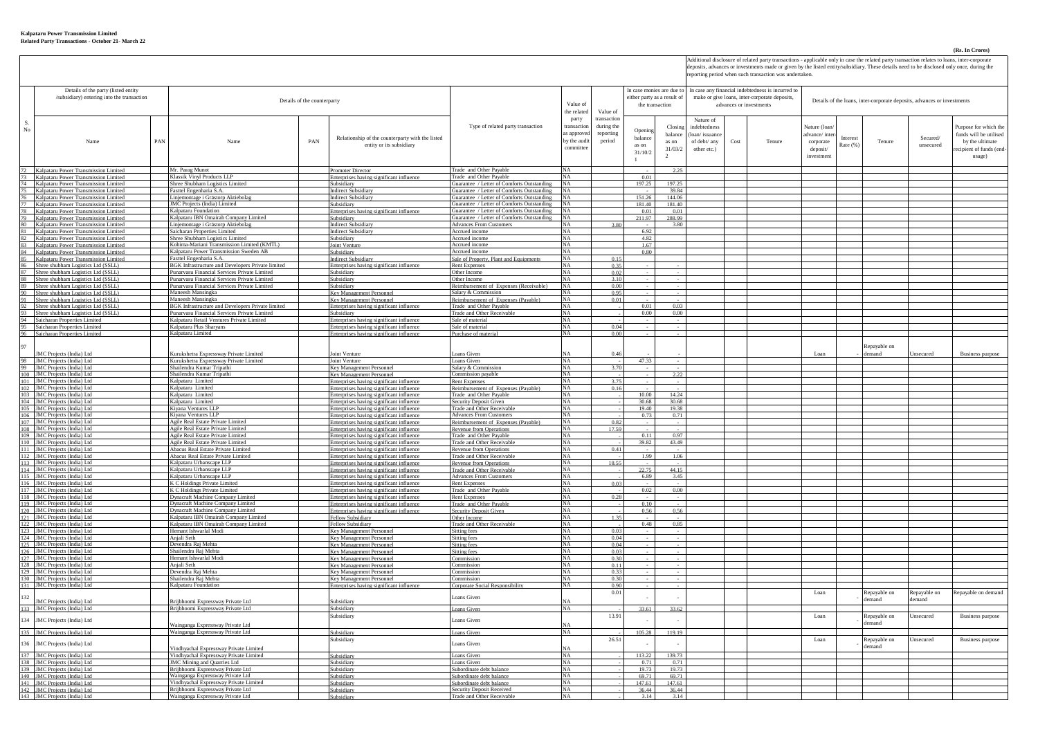## **(Rs. In Crores)**

Additional disclosure of related party transactions - applicable only in case the related party transaction relates to loans, inter-corporate<br>deposits, advances or investments made or given by the listed entity/subsidiary.

|             |                                                                                                                                                                                                                                       |     |                                                                                              |     |                                                                                             |                                                                                          |                                                   |                                                |                  |                                                                          |                           |      | reporting period when such transaction was undertaken.                  |                      |          |                     |                  |                                  |
|-------------|---------------------------------------------------------------------------------------------------------------------------------------------------------------------------------------------------------------------------------------|-----|----------------------------------------------------------------------------------------------|-----|---------------------------------------------------------------------------------------------|------------------------------------------------------------------------------------------|---------------------------------------------------|------------------------------------------------|------------------|--------------------------------------------------------------------------|---------------------------|------|-------------------------------------------------------------------------|----------------------|----------|---------------------|------------------|----------------------------------|
|             | Details of the party (listed entity                                                                                                                                                                                                   |     |                                                                                              |     | In case monies are due to                                                                   |                                                                                          | In case any financial indebtedness is incurred to |                                                |                  |                                                                          |                           |      |                                                                         |                      |          |                     |                  |                                  |
|             | /subsidiary) entering into the transaction                                                                                                                                                                                            |     | Details of the counterparty                                                                  |     |                                                                                             | Value of                                                                                 |                                                   | either party as a result of<br>the transaction |                  | make or give loans, inter-corporate deposits,<br>advances or investments |                           |      | Details of the loans, inter-corporate deposits, advances or investments |                      |          |                     |                  |                                  |
|             |                                                                                                                                                                                                                                       |     |                                                                                              |     |                                                                                             |                                                                                          | the related                                       | Value of                                       |                  |                                                                          |                           |      |                                                                         |                      |          |                     |                  |                                  |
| S.          |                                                                                                                                                                                                                                       |     |                                                                                              |     |                                                                                             | Type of related party transaction                                                        | party<br>transaction                              | transaction<br>during the                      |                  | Closir                                                                   | Nature of<br>indebtedness |      |                                                                         | Vature (loan         |          |                     |                  | Purpose for which the            |
| $_{\rm No}$ |                                                                                                                                                                                                                                       |     |                                                                                              |     | Relationship of the counterparty with the listed                                            |                                                                                          | as approve                                        | reporting                                      | Openi<br>balance | balanc                                                                   | loan/issuanc              |      |                                                                         | dvance/inte          | Interest |                     | Secured/         | funds will be utilised           |
|             | Name                                                                                                                                                                                                                                  | PAN | Name                                                                                         | PAN | entity or its subsidiary                                                                    |                                                                                          | by the audi<br>committe                           | period                                         | as on            | as on                                                                    | of debt/ any              | Cost | Tenure                                                                  | corporate            | Rate (%  | Tenure              | unsecured        | by the ultimate                  |
|             |                                                                                                                                                                                                                                       |     |                                                                                              |     |                                                                                             |                                                                                          |                                                   |                                                | 31/10/2          | 31/03/2                                                                  | other etc.)               |      |                                                                         | deposit/<br>nvestmen |          |                     |                  | ecipient of funds (end<br>usage) |
|             |                                                                                                                                                                                                                                       |     |                                                                                              |     |                                                                                             |                                                                                          |                                                   |                                                | $\mathbf{1}$     |                                                                          |                           |      |                                                                         |                      |          |                     |                  |                                  |
|             | 72 Kalpataru Power Transmission Limited<br>73 Kalpataru Power Transmission Limited<br>74 Kalpataru Power Transmission Limited<br>75 Kalpataru Power Transmission Limited                                                              |     | Mr. Parag Munot<br>Klassik Vinyl Products II P                                               |     | <b>Promoter Director</b><br>Enterprises having significant influence                        | Trade and Other Pavable<br>Trade and Other Pavable                                       | <b>NA</b><br>$N\Lambda$                           |                                                | 0.01             | 2.25                                                                     |                           |      |                                                                         |                      |          |                     |                  |                                  |
|             |                                                                                                                                                                                                                                       |     | Shree Shubham Logistics Limited                                                              |     | Subsidiary                                                                                  | Guarantee / Letter of Comforts Outstanding                                               |                                                   |                                                | 197.2            | 197.2                                                                    |                           |      |                                                                         |                      |          |                     |                  |                                  |
|             |                                                                                                                                                                                                                                       |     | Fasttel Engenharia S.A.<br>Liniemontage i Grästorp Aktiebolag                                |     | Indirect Subsidiary<br><b>Indirect Subsidiary</b>                                           | Guarantee / Letter of Comforts Outstanding<br>Guarantee / Letter of Comforts Outstanding | <b>NA</b><br><b>NA</b>                            |                                                | 151.26           | 39.84<br>144.06                                                          |                           |      |                                                                         |                      |          |                     |                  |                                  |
|             |                                                                                                                                                                                                                                       |     | IMC Projects (India) Limited                                                                 |     | Subsidiary                                                                                  | Guarantee / Letter of Comforts Outstanding                                               | NA                                                |                                                | 181.40           | 181.40                                                                   |                           |      |                                                                         |                      |          |                     |                  |                                  |
|             |                                                                                                                                                                                                                                       |     | Kalpataru Foundation<br>Kalpataru IBN Omairah Company Limited                                |     | Interprises having significant influence<br>subsidiary                                      | Guarantee / Letter of Comforts Outstanding<br>Guarantee / Letter of Comforts Outstanding | NA<br><b>NA</b>                                   |                                                | 0.0<br>211.97    | 0.01<br>288.99                                                           |                           |      |                                                                         |                      |          |                     |                  |                                  |
|             |                                                                                                                                                                                                                                       |     | Liniemontage i Grästorp Aktiebola                                                            |     | <b>Indirect Subsidiary</b>                                                                  | <b>Advances From Customer</b>                                                            | NΑ                                                |                                                |                  | 3.80                                                                     |                           |      |                                                                         |                      |          |                     |                  |                                  |
|             |                                                                                                                                                                                                                                       |     | Saicharan Properties Limited<br>Shree Shubham Logistics Limited                              |     | <b>Indirect Subsidiary</b><br>ubsidiary                                                     | Accrued income<br>Accrued income                                                         | <b>NA</b><br>NA.                                  |                                                | 6.92<br>4.82     |                                                                          |                           |      |                                                                         |                      |          |                     |                  |                                  |
|             |                                                                                                                                                                                                                                       |     | Kohima-Mariani Transmission Limited (KMTL)                                                   |     | Joint Venture                                                                               | Accrued income                                                                           | NA                                                |                                                | 1.67             |                                                                          |                           |      |                                                                         |                      |          |                     |                  |                                  |
|             |                                                                                                                                                                                                                                       |     | Kalpataru Power Transmission Sweden AB<br>Fasttel Engenharia S.A.                            |     | Subsidiary<br><b>Indirect Subsidiary</b>                                                    | Accrued income<br>Sale of Property, Plant and Equipments                                 | NA<br><b>NA</b>                                   | 0.15                                           | 0.80             |                                                                          |                           |      |                                                                         |                      |          |                     |                  |                                  |
|             |                                                                                                                                                                                                                                       |     | BGK Infrastructure and Developers Private limited                                            |     | Enterprises having significant influence                                                    | <b>Rent Expenses</b>                                                                     | <b>NA</b>                                         | 0.35                                           |                  |                                                                          |                           |      |                                                                         |                      |          |                     |                  |                                  |
|             | $\frac{75}{75}$ Kalpatan Power Transmission Limited Kalpatan Power Transmission Limited Kalpatan Power Transmission Limited $\frac{77}{72}$ Kalpatan Power Transmission Limited 80 Kalpatan Power Transmission Limited 81 Kalpatan Po |     | Punarvasu Financial Services Private Limited<br>Punarvasu Financial Services Private Limited |     | Subsidiary<br>Subsidiary                                                                    | Other Income<br>Other Income                                                             | NA<br>NA                                          | 0.02<br>3.10                                   |                  |                                                                          |                           |      |                                                                         |                      |          |                     |                  |                                  |
|             | 88 Shree shubham Logistics Ltd (SSLL)<br>89 Shree shubham Logistics Ltd (SSLL)<br>90 Shree shubham Logistics Ltd (SSLL)                                                                                                               |     | Punarvasu Financial Services Private Limited                                                 |     | Subsidiary                                                                                  | Reimbursement of Expenses (Receivable)                                                   | <b>NA</b>                                         | 0.00                                           |                  |                                                                          |                           |      |                                                                         |                      |          |                     |                  |                                  |
|             |                                                                                                                                                                                                                                       |     | Maneesh Mansingka<br>Maneesh Mansingka                                                       |     | v Manas<br>nt Personne<br>Key Management Personnel                                          | Salary & Commission<br>Reimbursement of Expenses (Payable)                               | <b>NA</b>                                         | 0.95<br>0.01                                   |                  |                                                                          |                           |      |                                                                         |                      |          |                     |                  |                                  |
|             | 91 Shree shubham Logistics Ltd (SSLL)<br>92 Shree shubham Logistics Ltd (SSLL)<br>93 Shree shubham Logistics Ltd (SSLL)                                                                                                               |     | BGK Infrastructure and Developers Private limited                                            |     | Enterprises having significant influenc                                                     | Trade and Other Payable                                                                  | NA                                                |                                                | 0.01             | 0.03                                                                     |                           |      |                                                                         |                      |          |                     |                  |                                  |
|             |                                                                                                                                                                                                                                       |     | Punaryasu Financial Services Private Limited<br>Kalnataru Retail Ventures Private Limited    |     | Subsidiary<br>Enterprises having significant influence                                      | Trade and Other Receivable<br>Sale of material                                           | NA<br><b>NA</b>                                   |                                                | 0.00             | 0.00                                                                     |                           |      |                                                                         |                      |          |                     |                  |                                  |
|             | 94<br>Saicharan Properties Limited<br>95<br>Saicharan Properties Limited<br>96<br>Saicharan Properties Limited                                                                                                                        |     | Kalpataru Plus Sharvans                                                                      |     | nterprises having significant influence                                                     | Sale of material                                                                         | NA                                                | 0.04                                           |                  |                                                                          |                           |      |                                                                         |                      |          |                     |                  |                                  |
|             | Saicharan Properties Limited                                                                                                                                                                                                          |     | Kalpataru Limited                                                                            |     | interprises having significant influence                                                    | Purchase of material                                                                     | NA                                                | 0.00                                           |                  |                                                                          |                           |      |                                                                         |                      |          |                     |                  |                                  |
| 97          |                                                                                                                                                                                                                                       |     |                                                                                              |     |                                                                                             |                                                                                          |                                                   | 0.4t                                           |                  |                                                                          |                           |      |                                                                         |                      |          | epayable on<br>mand |                  |                                  |
|             | JMC Projects (India) Ltd                                                                                                                                                                                                              |     | urukshetra Expressway Private Limited<br>Kurukshetra Expressway Private Limited              |     | vint Venture<br>Joint Venture                                                               | oans Given<br>Loans Given                                                                | NA                                                |                                                | 47.33            |                                                                          |                           |      |                                                                         | Loan                 |          |                     | <i>a</i> secured | <b>Business purpose</b>          |
|             |                                                                                                                                                                                                                                       |     | Shailendra Kumar Tripathi                                                                    |     | ev Management Personne                                                                      | Salary & Commission                                                                      | NA                                                | 370                                            |                  |                                                                          |                           |      |                                                                         |                      |          |                     |                  |                                  |
|             | MC Projects (India) Ltd<br>99 IMC Projects (India) Ltd<br>100 IMC Projects (India) Ltd<br>101 IMC Projects (India) Ltd<br>101 IMC Projects (India) Ltd                                                                                |     | Shailendra Kumar Tripathi<br>Kalpataru Limited                                               |     | Key Management Personnel<br>Enterprises having significant influe                           | Commission payable<br><b>Rent Expenses</b>                                               | NA<br><b>NA</b>                                   | 375                                            |                  | 2.22                                                                     |                           |      |                                                                         |                      |          |                     |                  |                                  |
|             | 102 JMC Projects (India) Ltd<br>103 JMC Projects (India) Ltd                                                                                                                                                                          |     | Kalpataru Limited                                                                            |     | nterprises having significant influence                                                     | Reimbursement of Expenses (Payable)                                                      | NA                                                | 0.16                                           |                  |                                                                          |                           |      |                                                                         |                      |          |                     |                  |                                  |
|             | 104 JMC Projects (India) Ltd                                                                                                                                                                                                          |     | Kalpataru Limited<br>Kalpataru Limited                                                       |     | nterprises having significant influence<br>nterprises having significant influenc           | <b>Trade</b> and Other Pavable<br>Security Deposit Given                                 | NA<br>NA                                          |                                                | 10.00<br>30.68   | 14.24<br>30.68                                                           |                           |      |                                                                         |                      |          |                     |                  |                                  |
|             | 105 JMC Projects (India) Ltd                                                                                                                                                                                                          |     | Kivana Ventures LLP                                                                          |     | Enterprises having significant influence                                                    | Trade and Other Receivable                                                               | <b>NA</b>                                         |                                                | 19.40            | 19.38                                                                    |                           |      |                                                                         |                      |          |                     |                  |                                  |
|             | 106 JMC Projects (India) Ltd                                                                                                                                                                                                          |     | Kiyana Ventures LLP<br>Agile Real Estate Private Limited                                     |     | nterprises having significant influence<br>Interprises having significant influence         | <b>Advances From Customers</b><br>Reimbursement of Expenses (Payable)                    | <b>NA</b><br>NA                                   | 0.82                                           | 0.73             | 0.71                                                                     |                           |      |                                                                         |                      |          |                     |                  |                                  |
|             | 107 JMC Projects (India) Ltd<br>108 JMC Projects (India) Ltd<br>109 JMC Projects (India) Ltd                                                                                                                                          |     | Agile Real Estate Private Limited                                                            |     | Enterprises having significant influence                                                    | Revenue from Operations                                                                  | NA                                                | 17.59                                          |                  |                                                                          |                           |      |                                                                         |                      |          |                     |                  |                                  |
|             | 110 JMC Projects (India) Ltd                                                                                                                                                                                                          |     | Agile Real Estate Private Limited<br>Agile Real Estate Private Limited                       |     | Enterprises having significant influence<br>Enterprises having significant influence        | Trade and Other Pavable<br>Trade and Other Receivable                                    | <b>NA</b><br><b>NA</b>                            |                                                | 0.11<br>39.82    | 0.97<br>43.49                                                            |                           |      |                                                                         |                      |          |                     |                  |                                  |
|             | 111 JMC Projects (India) Ltd                                                                                                                                                                                                          |     | Abacus Real Estate Private Limited                                                           |     | <b>Enterprises</b> having significant influence                                             | <b>Revenue from Operations</b>                                                           | NA<br>NA                                          | 0.41                                           |                  |                                                                          |                           |      |                                                                         |                      |          |                     |                  |                                  |
|             | 112 JMC Projects (India) Ltd<br>113 JMC Projects (India) Ltd                                                                                                                                                                          |     | Abacus Real Estate Private Limited<br>Kalpataru Urbanscape LLP                               |     | Enterprises having significant influence<br>Enterprises having significant influence        | Trade and Other Receivable<br>Revenue from Operations                                    | <b>NA</b>                                         | 18.55                                          | 1.99             | 1.06                                                                     |                           |      |                                                                         |                      |          |                     |                  |                                  |
|             | 114 JMC Projects (India) Ltd                                                                                                                                                                                                          |     | Kalpataru Urbanscape LLP                                                                     |     | nterprises having significant influence                                                     | Trade and Other Receivable                                                               | $N\Lambda$<br><b>NA</b>                           |                                                | 22.75<br>6.89    | 44 15<br>3.45                                                            |                           |      |                                                                         |                      |          |                     |                  |                                  |
|             | 115 JMC Projects (India) Ltd<br>116 JMC Projects (India) Ltd<br>117 JMC Projects (India) Ltd                                                                                                                                          |     | Kalpataru Urbanscape LLP<br>K C Holdings Private Limited                                     |     | <b>Enterprises</b> having significant influence<br>Enterprises having significant influence | <b>Advances From Customers</b><br><b>Rent Expenses</b>                                   | <b>NA</b>                                         | 0.03                                           |                  |                                                                          |                           |      |                                                                         |                      |          |                     |                  |                                  |
|             |                                                                                                                                                                                                                                       |     | K C Holdings Private Limited                                                                 |     | Enterprises having significant influence                                                    | Trade and Other Pavable                                                                  | <b>NA</b>                                         |                                                | 0.02             | 0.00                                                                     |                           |      |                                                                         |                      |          |                     |                  |                                  |
|             | 118 JMC Projects (India) Ltd<br>119 JMC Projects (India) Ltd                                                                                                                                                                          |     | Dynacraft Machine Company Limited<br>Dynacraft Machine Company Limited                       |     | Enterprises having significant influence<br>nterprises having significant influence         | <b>Rent Expenses</b><br>Trade and Other Pavable                                          | <b>NA</b><br>NA                                   | 0.28                                           | 0.10             |                                                                          |                           |      |                                                                         |                      |          |                     |                  |                                  |
|             | 120 JMC Projects (India) Ltd<br>121 JMC Projects (India) Ltd                                                                                                                                                                          |     | Dynacraft Machine Company Limited                                                            |     | Interprises having significant influence                                                    | Security Deposit Given                                                                   | NA                                                |                                                | 0.56             | 0.56                                                                     |                           |      |                                                                         |                      |          |                     |                  |                                  |
|             | 122 JMC Projects (India) Ltd                                                                                                                                                                                                          |     | Kalpataru IBN Omairah Company Limited<br>Kalpataru IBN Omairah Company Limited               |     | Fellow Subsidiary<br>Fellow Subsidiary                                                      | Other Income<br>Trade and Other Receivable                                               | <b>NA</b><br><b>NA</b>                            | 1.35                                           | 0.48             | 0.85                                                                     |                           |      |                                                                         |                      |          |                     |                  |                                  |
|             | 123 JMC Projects (India) Ltd<br>124 JMC Projects (India) Ltd                                                                                                                                                                          |     | Hemant Ishwarlal Modi<br>Aniali Seth                                                         |     | Key Management Personnel                                                                    | Sitting fees                                                                             | $N\Lambda$<br><b>NA</b>                           | 0.03<br>0.04                                   |                  |                                                                          |                           |      |                                                                         |                      |          |                     |                  |                                  |
|             | 125 JMC Projects (India) Ltd                                                                                                                                                                                                          |     | Devendra Raj Mehta                                                                           |     | <b>Cey Management Personnel</b><br>Key Management Personnel                                 | Sitting fees<br>Sitting fees                                                             | NA                                                | 0.04                                           |                  |                                                                          |                           |      |                                                                         |                      |          |                     |                  |                                  |
|             | 126 JMC Projects (India) Ltd<br>127 JMC Projects (India) Ltd                                                                                                                                                                          |     | Shailendra Rai Mehta<br>Hemant Ishwarlal Modi                                                |     | Key Management Personnel<br>Key Management Personnel                                        | <b>Sitting fees</b><br>Commission                                                        | NA<br><b>NA</b>                                   | 0.03<br>0.30                                   |                  |                                                                          |                           |      |                                                                         |                      |          |                     |                  |                                  |
|             | 128 JMC Projects (India) Ltd                                                                                                                                                                                                          |     | Anjali Seth                                                                                  |     | Key Management Personnel                                                                    | Commission                                                                               | NA                                                | 0.11                                           |                  |                                                                          |                           |      |                                                                         |                      |          |                     |                  |                                  |
|             | 129 JMC Projects (India) Ltd<br>130 JMC Projects (India) Ltd                                                                                                                                                                          |     | Devendra Raj Mehta<br>Shailendra Raj Mehta                                                   |     | Kev Management Personnel<br>Key Management Personnel                                        | Commission<br>'ommission                                                                 | NA<br>NA                                          | 0.33<br>0.30                                   |                  |                                                                          |                           |      |                                                                         |                      |          |                     |                  |                                  |
|             | 131 JMC Projects (India) Ltd                                                                                                                                                                                                          |     | Kalpataru Foundation                                                                         |     | Enterprises having significant influence                                                    | Corporate Social Responsibility                                                          | <b>NA</b>                                         | 0.90                                           |                  |                                                                          |                           |      |                                                                         |                      |          |                     |                  |                                  |
| 132         |                                                                                                                                                                                                                                       |     |                                                                                              |     |                                                                                             | Loans Given                                                                              |                                                   | 0.01                                           |                  |                                                                          |                           |      |                                                                         | Loan                 |          | epayable on         | Repayable on     | tepayable on demand              |
|             | <b>IMC</b> Projects (India) Ltd.<br>133 JMC Projects (India) Ltd                                                                                                                                                                      |     | Briibhoomi Expressway Private Ltd<br>Briibhoomi Expressway Private Ltd                       |     | theidiary<br>Subsidiary                                                                     | Loans Giver                                                                              | NA                                                |                                                | 33.61            | 33.62                                                                    |                           |      |                                                                         |                      |          | emand               | emand            |                                  |
|             | 134 JMC Projects (India) Ltd                                                                                                                                                                                                          |     |                                                                                              |     | Subsidiary                                                                                  | Loans Given                                                                              |                                                   | 13.91                                          |                  |                                                                          |                           |      |                                                                         | Loan                 |          | Repayable on        | Insecured        | <b>Business purpose</b>          |
|             |                                                                                                                                                                                                                                       |     | Wainganga Expressway Private Ltd                                                             |     |                                                                                             |                                                                                          | NΔ                                                |                                                |                  |                                                                          |                           |      |                                                                         |                      |          | demand              |                  |                                  |
|             | 135 JMC Projects (India) Ltd                                                                                                                                                                                                          |     | Wainganga Expressway Private Ltd                                                             |     | Subsidiary<br>Subsidiary                                                                    | <b>Loans</b> Giver                                                                       | $N\Lambda$                                        | 26.51                                          | 105.28           | 119.19                                                                   |                           |      |                                                                         | Loan                 |          | Repavable on        | Insecured        | <b>Business purpose</b>          |
|             | 136 JMC Projects (India) Ltd                                                                                                                                                                                                          |     | /indhyachal Expressway Private Limited                                                       |     |                                                                                             | Loans Given                                                                              | NΔ                                                |                                                |                  |                                                                          |                           |      |                                                                         |                      |          | ·mand               |                  |                                  |
|             | 137 JMC Projects (India) Ltd                                                                                                                                                                                                          |     | Vindhyachal Expressway Private Limited                                                       |     | Subsidiary                                                                                  | Loans Given                                                                              | NA                                                |                                                | 113.22           | 139.73                                                                   |                           |      |                                                                         |                      |          |                     |                  |                                  |
|             | 138 JMC Projects (India) Ltd<br>139 JMC Projects (India) Ltd                                                                                                                                                                          |     | JMC Mining and Quarries Ltd<br>Briibhoomi Expressway Private Ltd                             |     | Subsidiary<br>Subsidiary                                                                    | Loans Given<br>Subordinate debt balance                                                  | <b>NA</b><br><b>NA</b>                            |                                                | 0.7<br>19.73     | 07<br>19.73                                                              |                           |      |                                                                         |                      |          |                     |                  |                                  |
|             | 140 JMC Projects (India) Ltd                                                                                                                                                                                                          |     | Wainganga Expressway Private Ltd                                                             |     | Subsidiary                                                                                  | Subordinate debt balance                                                                 | <b>NA</b>                                         |                                                | 69.71            | 69.71                                                                    |                           |      |                                                                         |                      |          |                     |                  |                                  |
|             | 141 JMC Projects (India) Ltd<br>142 JMC Projects (India) Ltd                                                                                                                                                                          |     | Vindhyachal Expressway Private Limited<br>Brijbhoomi Expressway Private Ltd                  |     | Subsidiary<br>Subsidiary                                                                    | Subordinate debt balance<br><b>Security Deposit Received</b>                             | NA<br>NA                                          |                                                | 147.61<br>36.44  | 147.61<br>36.44                                                          |                           |      |                                                                         |                      |          |                     |                  |                                  |
|             | 143 JMC Projects (India) Ltd                                                                                                                                                                                                          |     | Wainganga Expressway Private Ltd                                                             |     | Subsidiary                                                                                  | Trade and Other Receivable                                                               | <b>NA</b>                                         |                                                | 3 14             | 314                                                                      |                           |      |                                                                         |                      |          |                     |                  |                                  |